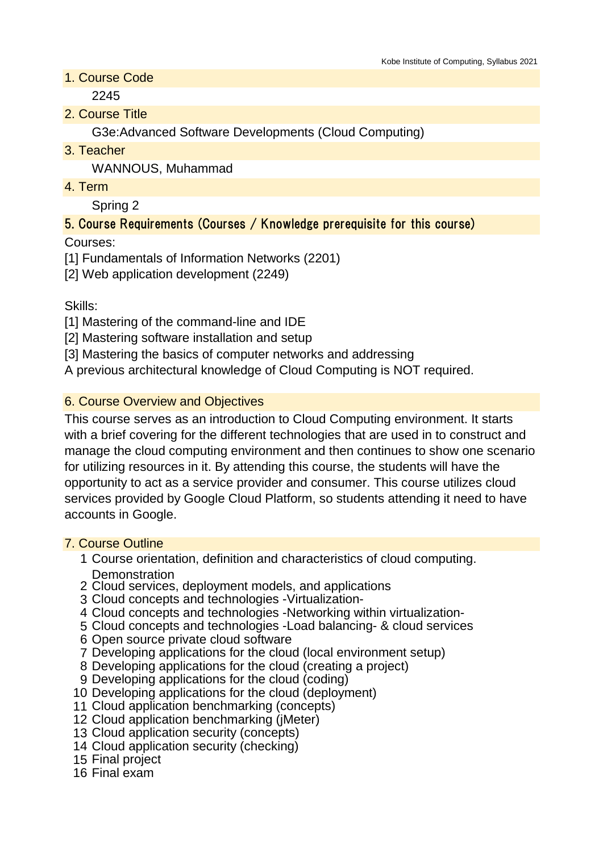1. Course Code

2245

2. Course Title

G3e:Advanced Software Developments (Cloud Computing)

3. Teacher

WANNOUS, Muhammad

4. Term

Spring 2

# 5. Course Requirements (Courses / Knowledge prerequisite for this course)

Courses:

[1] Fundamentals of Information Networks (2201)

[2] Web application development (2249)

Skills:

[1] Mastering of the command-line and IDE

[2] Mastering software installation and setup

[3] Mastering the basics of computer networks and addressing

A previous architectural knowledge of Cloud Computing is NOT required.

### 6. Course Overview and Objectives

This course serves as an introduction to Cloud Computing environment. It starts with a brief covering for the different technologies that are used in to construct and manage the cloud computing environment and then continues to show one scenario for utilizing resources in it. By attending this course, the students will have the opportunity to act as a service provider and consumer. This course utilizes cloud services provided by Google Cloud Platform, so students attending it need to have accounts in Google.

### 7. Course Outline

- 1 Course orientation, definition and characteristics of cloud computing. **Demonstration**
- 2 Cloud services, deployment models, and applications
- 3 Cloud concepts and technologies -Virtualization-
- 4 Cloud concepts and technologies -Networking within virtualization-
- 5 Cloud concepts and technologies -Load balancing- & cloud services
- 6 Open source private cloud software
- 7 Developing applications for the cloud (local environment setup)
- 8 Developing applications for the cloud (creating a project)
- 9 Developing applications for the cloud (coding)
- 10 Developing applications for the cloud (deployment)
- 11 Cloud application benchmarking (concepts)
- 12 Cloud application benchmarking (jMeter)
- 13 Cloud application security (concepts)
- 14 Cloud application security (checking)
- 15 Final project
- 16 Final exam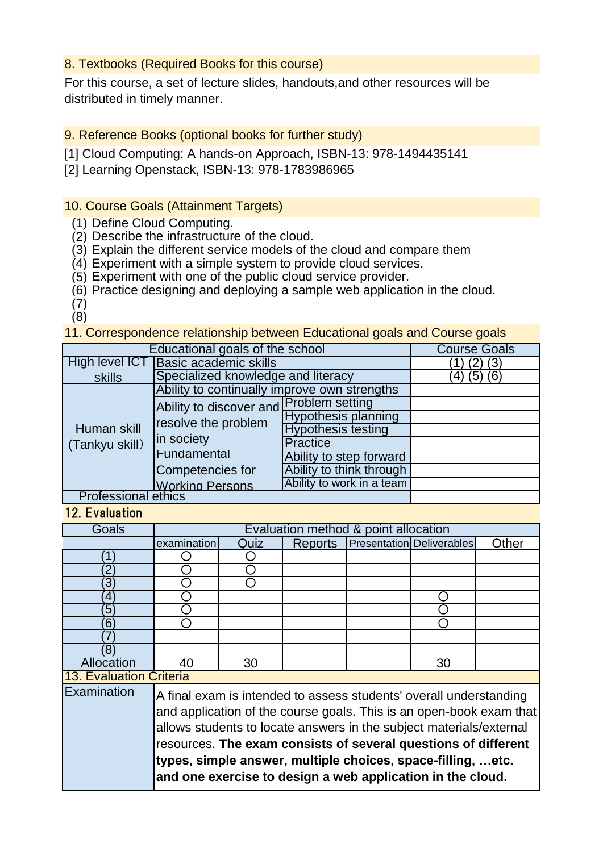#### 8. Textbooks (Required Books for this course)

For this course, a set of lecture slides, handouts,and other resources will be distributed in timely manner.

9. Reference Books (optional books for further study)

[1] Cloud Computing: A hands-on Approach, ISBN-13: 978-1494435141

[2] Learning Openstack, ISBN-13: 978-1783986965

#### 10. Course Goals (Attainment Targets)

(1) Define Cloud Computing.

(2) Describe the infrastructure of the cloud.

(3) Explain the different service models of the cloud and compare them

(4) Experiment with a simple system to provide cloud services.

(5) Experiment with one of the public cloud service provider.

(6) Practice designing and deploying a sample web application in the cloud.

(7)  $(8)$ 

11. Correspondence relationship between Educational goals and Course goals

| Educational goals of the school | <b>Course Goals</b>                          |                            |  |  |  |
|---------------------------------|----------------------------------------------|----------------------------|--|--|--|
| High level ICT                  | <b>Basic academic skills</b>                 | (3)                        |  |  |  |
| skills                          | Specialized knowledge and literacy           | (5) (6)<br>4               |  |  |  |
| Human skill<br>(Tankyu skill)   | Ability to continually improve own strengths |                            |  |  |  |
|                                 | Ability to discover and Problem setting      |                            |  |  |  |
|                                 | resolve the problem<br>in society            | <b>Hypothesis planning</b> |  |  |  |
|                                 |                                              | <b>Hypothesis testing</b>  |  |  |  |
|                                 |                                              | <b>Practice</b>            |  |  |  |
|                                 | Fundamental                                  | Ability to step forward    |  |  |  |
|                                 | Competencies for                             | Ability to think through   |  |  |  |
|                                 | <b>Working Persons</b>                       | Ability to work in a team  |  |  |  |
| <b>Professional ethics</b>      |                                              |                            |  |  |  |

12. Evaluation

| <b>Goals</b>                                                                                                                                                                                                                                                                                                                                                                                                                    | Evaluation method & point allocation |      |                |  |                                  |       |
|---------------------------------------------------------------------------------------------------------------------------------------------------------------------------------------------------------------------------------------------------------------------------------------------------------------------------------------------------------------------------------------------------------------------------------|--------------------------------------|------|----------------|--|----------------------------------|-------|
|                                                                                                                                                                                                                                                                                                                                                                                                                                 | examination                          | Quiz | <b>Reports</b> |  | <b>Presentation Deliverables</b> | Other |
| 1                                                                                                                                                                                                                                                                                                                                                                                                                               |                                      |      |                |  |                                  |       |
|                                                                                                                                                                                                                                                                                                                                                                                                                                 |                                      |      |                |  |                                  |       |
| 3                                                                                                                                                                                                                                                                                                                                                                                                                               |                                      |      |                |  |                                  |       |
| 4                                                                                                                                                                                                                                                                                                                                                                                                                               |                                      |      |                |  |                                  |       |
| 5                                                                                                                                                                                                                                                                                                                                                                                                                               |                                      |      |                |  |                                  |       |
| 6                                                                                                                                                                                                                                                                                                                                                                                                                               |                                      |      |                |  |                                  |       |
|                                                                                                                                                                                                                                                                                                                                                                                                                                 |                                      |      |                |  |                                  |       |
| ΄8                                                                                                                                                                                                                                                                                                                                                                                                                              |                                      |      |                |  |                                  |       |
| Allocation                                                                                                                                                                                                                                                                                                                                                                                                                      | 40                                   | 30   |                |  | 30                               |       |
|                                                                                                                                                                                                                                                                                                                                                                                                                                 | <b>13. Evaluation Criteria</b>       |      |                |  |                                  |       |
| Examination<br>A final exam is intended to assess students' overall understanding<br>and application of the course goals. This is an open-book exam that<br>allows students to locate answers in the subject materials/external<br>resources. The exam consists of several questions of different<br>types, simple answer, multiple choices, space-filling,  etc.<br>and one exercise to design a web application in the cloud. |                                      |      |                |  |                                  |       |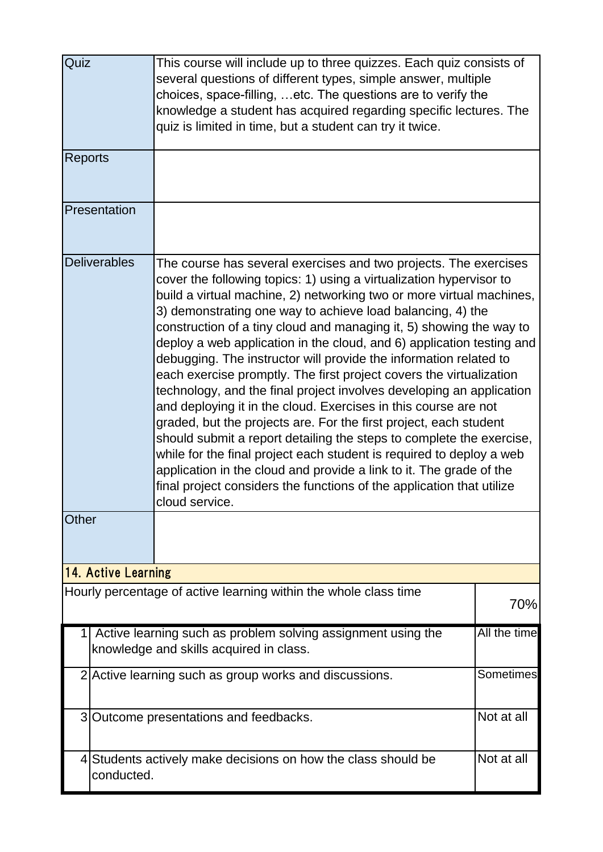| Quiz           |                     | This course will include up to three quizzes. Each quiz consists of<br>several questions of different types, simple answer, multiple<br>choices, space-filling, etc. The questions are to verify the<br>knowledge a student has acquired regarding specific lectures. The<br>quiz is limited in time, but a student can try it twice.                                                                                                                                                                                                                                                                                                                                                                                                                                                                                                                                                                                                                                                                                                                                                                       |              |  |
|----------------|---------------------|-------------------------------------------------------------------------------------------------------------------------------------------------------------------------------------------------------------------------------------------------------------------------------------------------------------------------------------------------------------------------------------------------------------------------------------------------------------------------------------------------------------------------------------------------------------------------------------------------------------------------------------------------------------------------------------------------------------------------------------------------------------------------------------------------------------------------------------------------------------------------------------------------------------------------------------------------------------------------------------------------------------------------------------------------------------------------------------------------------------|--------------|--|
| <b>Reports</b> |                     |                                                                                                                                                                                                                                                                                                                                                                                                                                                                                                                                                                                                                                                                                                                                                                                                                                                                                                                                                                                                                                                                                                             |              |  |
|                | Presentation        |                                                                                                                                                                                                                                                                                                                                                                                                                                                                                                                                                                                                                                                                                                                                                                                                                                                                                                                                                                                                                                                                                                             |              |  |
| <b>Other</b>   | <b>Deliverables</b> | The course has several exercises and two projects. The exercises<br>cover the following topics: 1) using a virtualization hypervisor to<br>build a virtual machine, 2) networking two or more virtual machines,<br>3) demonstrating one way to achieve load balancing, 4) the<br>construction of a tiny cloud and managing it, 5) showing the way to<br>deploy a web application in the cloud, and 6) application testing and<br>debugging. The instructor will provide the information related to<br>each exercise promptly. The first project covers the virtualization<br>technology, and the final project involves developing an application<br>and deploying it in the cloud. Exercises in this course are not<br>graded, but the projects are. For the first project, each student<br>should submit a report detailing the steps to complete the exercise,<br>while for the final project each student is required to deploy a web<br>application in the cloud and provide a link to it. The grade of the<br>final project considers the functions of the application that utilize<br>cloud service. |              |  |
|                | 14. Active Learning |                                                                                                                                                                                                                                                                                                                                                                                                                                                                                                                                                                                                                                                                                                                                                                                                                                                                                                                                                                                                                                                                                                             |              |  |
|                |                     | Hourly percentage of active learning within the whole class time                                                                                                                                                                                                                                                                                                                                                                                                                                                                                                                                                                                                                                                                                                                                                                                                                                                                                                                                                                                                                                            | 70%          |  |
| 1              |                     | Active learning such as problem solving assignment using the<br>knowledge and skills acquired in class.                                                                                                                                                                                                                                                                                                                                                                                                                                                                                                                                                                                                                                                                                                                                                                                                                                                                                                                                                                                                     | All the time |  |
|                |                     | 2 Active learning such as group works and discussions.                                                                                                                                                                                                                                                                                                                                                                                                                                                                                                                                                                                                                                                                                                                                                                                                                                                                                                                                                                                                                                                      | Sometimes    |  |
|                |                     | 3 Outcome presentations and feedbacks.                                                                                                                                                                                                                                                                                                                                                                                                                                                                                                                                                                                                                                                                                                                                                                                                                                                                                                                                                                                                                                                                      | Not at all   |  |
|                | conducted.          | 4 Students actively make decisions on how the class should be                                                                                                                                                                                                                                                                                                                                                                                                                                                                                                                                                                                                                                                                                                                                                                                                                                                                                                                                                                                                                                               | Not at all   |  |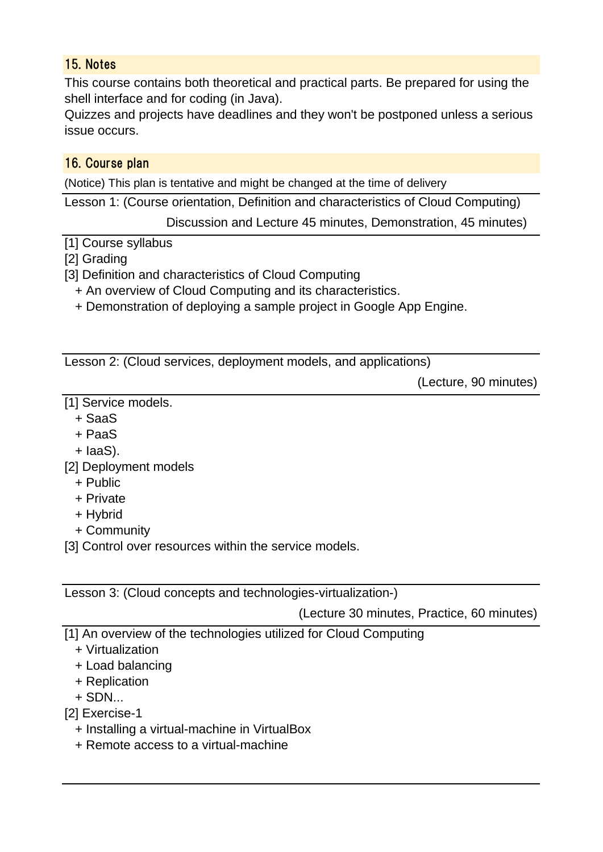### 15. Notes

This course contains both theoretical and practical parts. Be prepared for using the shell interface and for coding (in Java).

Quizzes and projects have deadlines and they won't be postponed unless a serious issue occurs.

## 16. Course plan

(Notice) This plan is tentative and might be changed at the time of delivery

Lesson 1: (Course orientation, Definition and characteristics of Cloud Computing)

Discussion and Lecture 45 minutes, Demonstration, 45 minutes)

[1] Course syllabus

[2] Grading

[3] Definition and characteristics of Cloud Computing

+ An overview of Cloud Computing and its characteristics.

+ Demonstration of deploying a sample project in Google App Engine.

Lesson 2: (Cloud services, deployment models, and applications)

(Lecture, 90 minutes)

[1] Service models.

- + SaaS
- + PaaS
- + IaaS).
- [2] Deployment models
	- + Public
	- + Private
	- + Hybrid
	- + Community

[3] Control over resources within the service models.

Lesson 3: (Cloud concepts and technologies-virtualization-)

(Lecture 30 minutes, Practice, 60 minutes)

[1] An overview of the technologies utilized for Cloud Computing

- + Virtualization
- + Load balancing
- + Replication
- $+$  SDN $...$

[2] Exercise-1

- + Installing a virtual-machine in VirtualBox
- + Remote access to a virtual-machine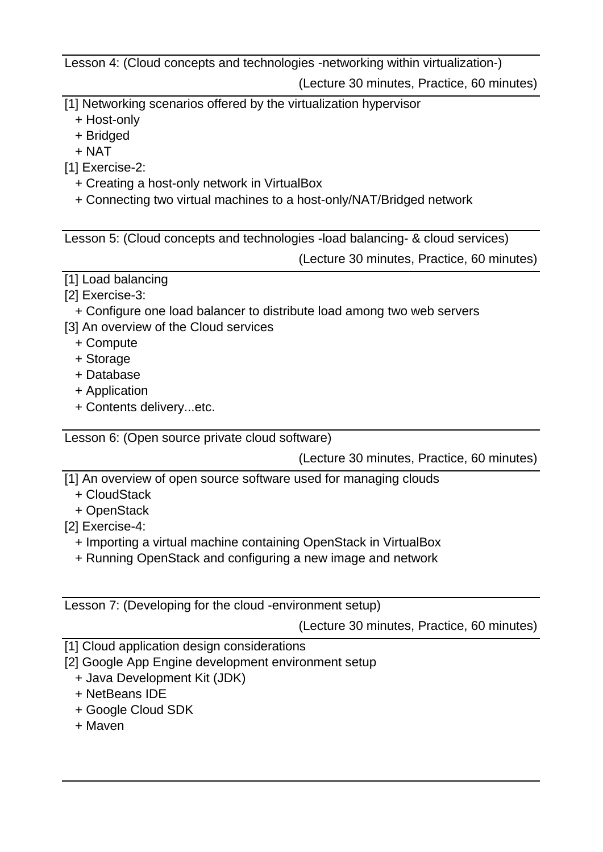Lesson 4: (Cloud concepts and technologies -networking within virtualization-)

(Lecture 30 minutes, Practice, 60 minutes)

- [1] Networking scenarios offered by the virtualization hypervisor
	- + Host-only
	- + Bridged
	- + NAT
- [1] Exercise-2:
	- + Creating a host-only network in VirtualBox
	- + Connecting two virtual machines to a host-only/NAT/Bridged network

Lesson 5: (Cloud concepts and technologies -load balancing- & cloud services)

(Lecture 30 minutes, Practice, 60 minutes)

- [1] Load balancing
- [2] Exercise-3:
- + Configure one load balancer to distribute load among two web servers
- [3] An overview of the Cloud services
	- + Compute
	- + Storage
	- + Database
	- + Application
	- + Contents delivery...etc.

Lesson 6: (Open source private cloud software)

(Lecture 30 minutes, Practice, 60 minutes)

- [1] An overview of open source software used for managing clouds
	- + CloudStack
	- + OpenStack
- [2] Exercise-4:
	- + Importing a virtual machine containing OpenStack in VirtualBox
	- + Running OpenStack and configuring a new image and network

Lesson 7: (Developing for the cloud -environment setup)

(Lecture 30 minutes, Practice, 60 minutes)

[1] Cloud application design considerations

- [2] Google App Engine development environment setup
	- + Java Development Kit (JDK)
	- + NetBeans IDE
	- + Google Cloud SDK
	- + Maven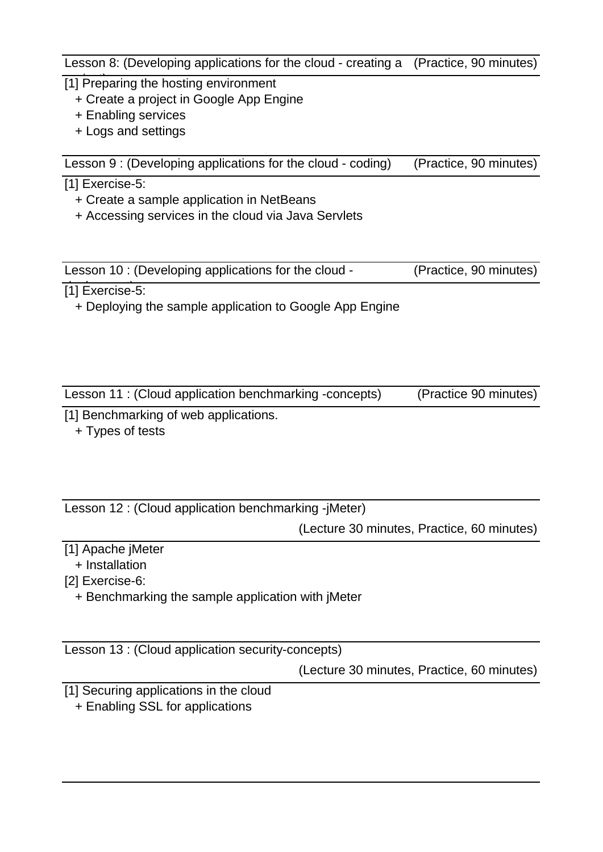Lesson 8: (Developing applications for the cloud - creating a (Practice, 90 minutes)

- [1] Preparing the hosting environment
	- + Create a project in Google App Engine
	- + Enabling services
	- + Logs and settings

Lesson 9 : (Developing applications for the cloud - coding) (Practice, 90 minutes)

#### [1] Exercise-5:

- + Create a sample application in NetBeans
- + Accessing services in the cloud via Java Servlets

| Lesson 10 : (Developing applications for the cloud - | (Practice, 90 minutes) |
|------------------------------------------------------|------------------------|

 $\overline{[1]}$  Exercise-5:

+ Deploying the sample application to Google App Engine

| Lesson 11 : (Cloud application benchmarking -concepts) | (Practice 90 minutes) |
|--------------------------------------------------------|-----------------------|
|--------------------------------------------------------|-----------------------|

[1] Benchmarking of web applications.

+ Types of tests

| Lesson 12 : (Cloud application benchmarking -jMeter) |                                           |  |  |  |
|------------------------------------------------------|-------------------------------------------|--|--|--|
|                                                      | (Locture 20 minutes, Drastice, 60 minutes |  |  |  |

(Lecture 30 minutes, Practice, 60 minutes)

- [1] Apache jMeter
- + Installation
- [2] Exercise-6:
	- + Benchmarking the sample application with jMeter

Lesson 13 : (Cloud application security-concepts)

(Lecture 30 minutes, Practice, 60 minutes)

[1] Securing applications in the cloud

+ Enabling SSL for applications